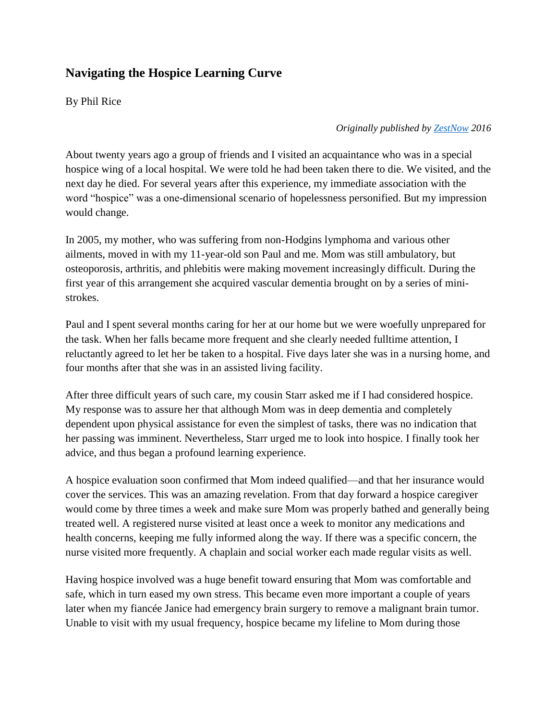## **Navigating the Hospice Learning Curve**

By Phil Rice

*Originally published b[y ZestNow](http://zestnow.com/how-i-learned-not-to-fear-hospice/) 2016*

About twenty years ago a group of friends and I visited an acquaintance who was in a special hospice wing of a local hospital. We were told he had been taken there to die. We visited, and the next day he died. For several years after this experience, my immediate association with the word "hospice" was a one-dimensional scenario of hopelessness personified. But my impression would change.

In 2005, my mother, who was suffering from non-Hodgins lymphoma and various other ailments, moved in with my 11-year-old son Paul and me. Mom was still ambulatory, but osteoporosis, arthritis, and phlebitis were making movement increasingly difficult. During the first year of this arrangement she acquired vascular dementia brought on by a series of ministrokes.

Paul and I spent several months caring for her at our home but we were woefully unprepared for the task. When her falls became more frequent and she clearly needed fulltime attention, I reluctantly agreed to let her be taken to a hospital. Five days later she was in a nursing home, and four months after that she was in an assisted living facility.

After three difficult years of such care, my cousin Starr asked me if I had considered hospice. My response was to assure her that although Mom was in deep dementia and completely dependent upon physical assistance for even the simplest of tasks, there was no indication that her passing was imminent. Nevertheless, Starr urged me to look into hospice. I finally took her advice, and thus began a profound learning experience.

A hospice evaluation soon confirmed that Mom indeed qualified—and that her insurance would cover the services. This was an amazing revelation. From that day forward a hospice caregiver would come by three times a week and make sure Mom was properly bathed and generally being treated well. A registered nurse visited at least once a week to monitor any medications and health concerns, keeping me fully informed along the way. If there was a specific concern, the nurse visited more frequently. A chaplain and social worker each made regular visits as well.

Having hospice involved was a huge benefit toward ensuring that Mom was comfortable and safe, which in turn eased my own stress. This became even more important a couple of years later when my fiancée Janice had emergency brain surgery to remove a malignant brain tumor. Unable to visit with my usual frequency, hospice became my lifeline to Mom during those